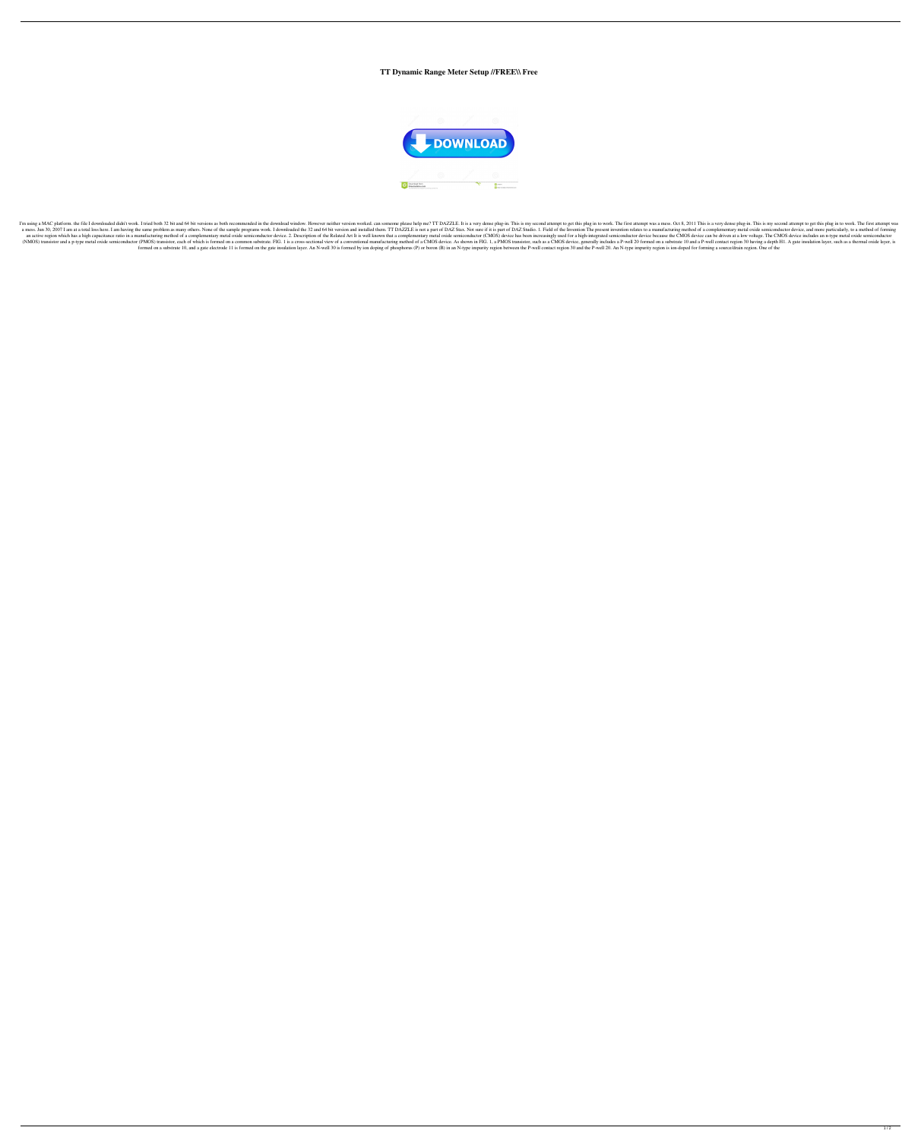## **TT Dynamic Range Meter Setup //FREE\\ Free**



I'm using a MAC platform. the file I downloaded didn't work. I tried both 32 bit and 64 bit versions as both recommended in the download window. However neither version worked. can someone please help me? TT DAZZLE. It is a mess. Jun 30, 2007 I am at a total loss here. I am having the same problem as many others. None of the sample programs work. I downloaded the 32 and 64 bit version and installed them. TT DAZZLE is not a part of DAZ Stax. an active region which has a high capacitance ratio in a manufacturing method of a complementary metal oxide semiconductor device. 2. Description of the Related Art It is well known that a complementary metal oxide semicon (NMOS) transistor and a p-type metal oxide semiconductor (PMOS) transistor, each of which is formed on a common substrate. FIG. 1 is a cross-sectional wiew of a conventional manufacturing method of a CMOS device, generally formed on a substrate 10, and a gate electrode 11 is formed on the gate insulation layer. An N-well 30 is formed by ion doping of phosphorus (P) or boron (B) in an N-type impurity region between the P-well contact region 3